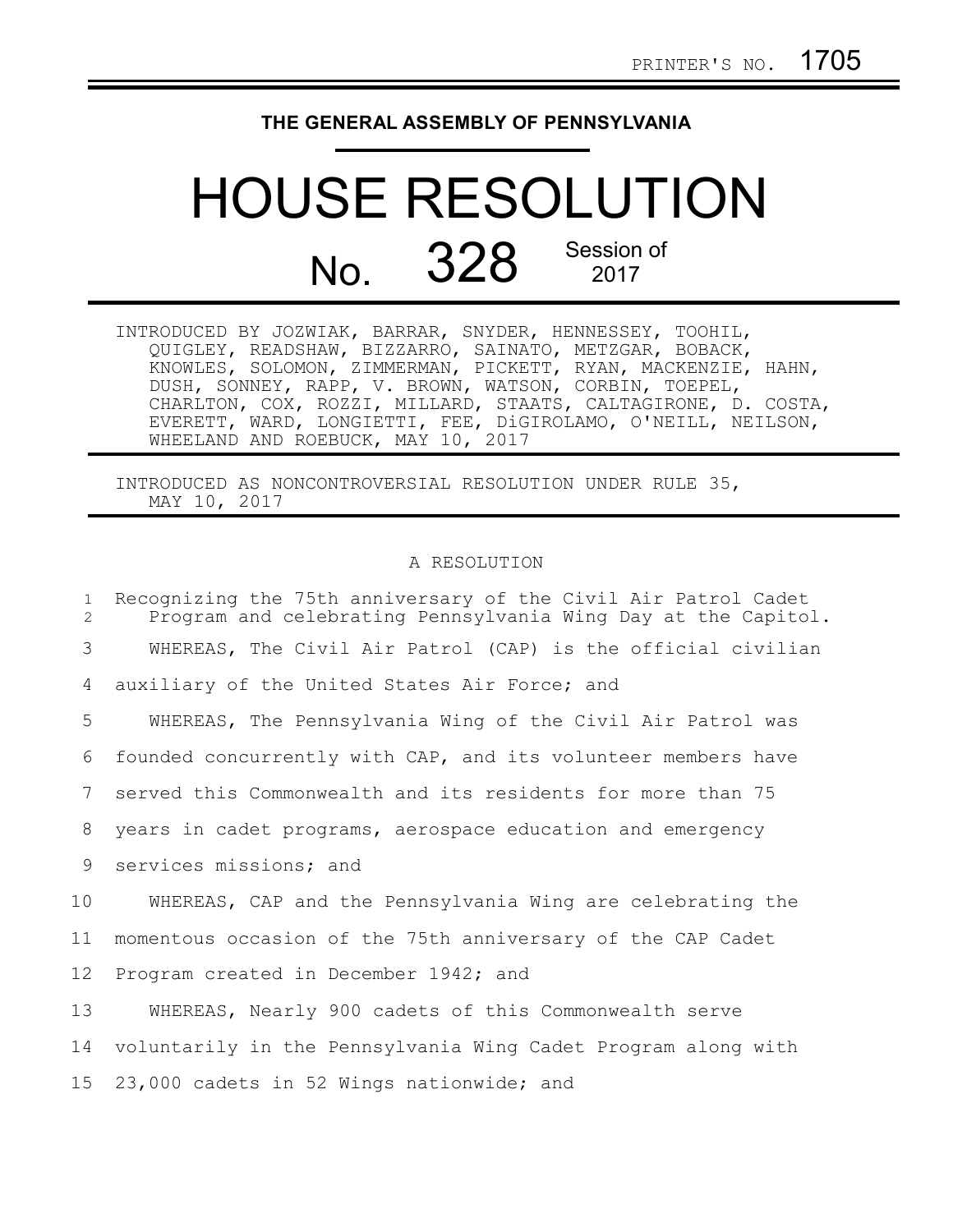## **THE GENERAL ASSEMBLY OF PENNSYLVANIA**

## HOUSE RESOLUTION No. 328 Session of 2017

| INTRODUCED BY JOZWIAK, BARRAR, SNYDER, HENNESSEY, TOOHIL,     |  |
|---------------------------------------------------------------|--|
| QUIGLEY, READSHAW, BIZZARRO, SAINATO, METZGAR, BOBACK,        |  |
| KNOWLES, SOLOMON, ZIMMERMAN, PICKETT, RYAN, MACKENZIE, HAHN,  |  |
| DUSH, SONNEY, RAPP, V. BROWN, WATSON, CORBIN, TOEPEL,         |  |
| CHARLTON, COX, ROZZI, MILLARD, STAATS, CALTAGIRONE, D. COSTA, |  |
| EVERETT, WARD, LONGIETTI, FEE, DiGIROLAMO, O'NEILL, NEILSON,  |  |
| WHEELAND AND ROEBUCK, MAY 10, 2017                            |  |

INTRODUCED AS NONCONTROVERSIAL RESOLUTION UNDER RULE 35, MAY 10, 2017

## A RESOLUTION

Recognizing the 75th anniversary of the Civil Air Patrol Cadet Program and celebrating Pennsylvania Wing Day at the Capitol. WHEREAS, The Civil Air Patrol (CAP) is the official civilian auxiliary of the United States Air Force; and WHEREAS, The Pennsylvania Wing of the Civil Air Patrol was founded concurrently with CAP, and its volunteer members have served this Commonwealth and its residents for more than 75 years in cadet programs, aerospace education and emergency services missions; and WHEREAS, CAP and the Pennsylvania Wing are celebrating the momentous occasion of the 75th anniversary of the CAP Cadet Program created in December 1942; and WHEREAS, Nearly 900 cadets of this Commonwealth serve voluntarily in the Pennsylvania Wing Cadet Program along with 23,000 cadets in 52 Wings nationwide; and 1  $\mathcal{D}$ 3 4 5 6 7 8 9 10 11 12 13 14 15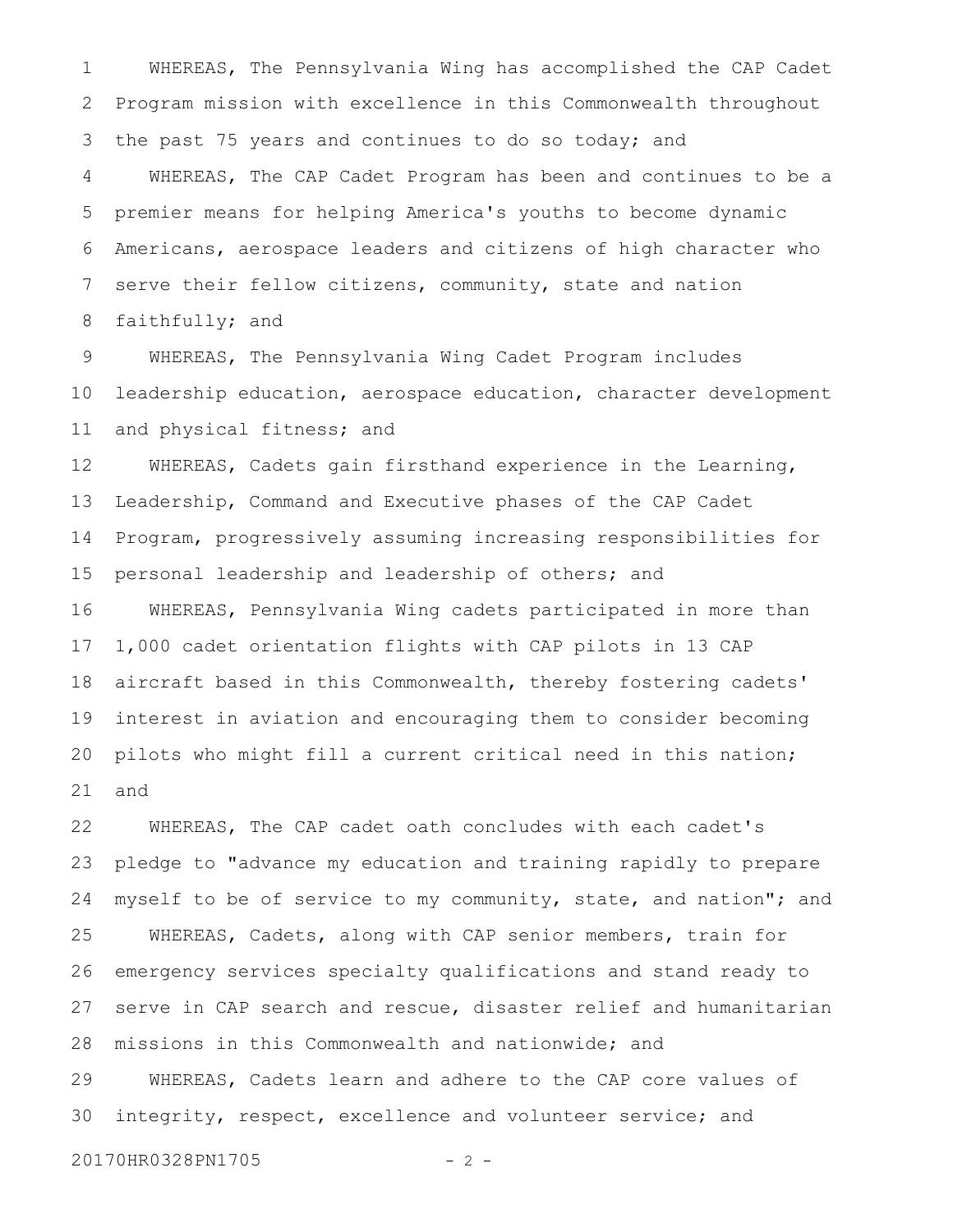WHEREAS, The Pennsylvania Wing has accomplished the CAP Cadet Program mission with excellence in this Commonwealth throughout the past 75 years and continues to do so today; and WHEREAS, The CAP Cadet Program has been and continues to be a premier means for helping America's youths to become dynamic Americans, aerospace leaders and citizens of high character who serve their fellow citizens, community, state and nation faithfully; and 1 2 3 4 5 6 7 8

WHEREAS, The Pennsylvania Wing Cadet Program includes leadership education, aerospace education, character development and physical fitness; and 9 10 11

WHEREAS, Cadets gain firsthand experience in the Learning, Leadership, Command and Executive phases of the CAP Cadet Program, progressively assuming increasing responsibilities for personal leadership and leadership of others; and WHEREAS, Pennsylvania Wing cadets participated in more than 1,000 cadet orientation flights with CAP pilots in 13 CAP aircraft based in this Commonwealth, thereby fostering cadets' interest in aviation and encouraging them to consider becoming pilots who might fill a current critical need in this nation; and 12 13 14 15 16 17 18 19 20 21

WHEREAS, The CAP cadet oath concludes with each cadet's pledge to "advance my education and training rapidly to prepare myself to be of service to my community, state, and nation"; and WHEREAS, Cadets, along with CAP senior members, train for emergency services specialty qualifications and stand ready to serve in CAP search and rescue, disaster relief and humanitarian missions in this Commonwealth and nationwide; and WHEREAS, Cadets learn and adhere to the CAP core values of integrity, respect, excellence and volunteer service; and 22 23 24 25 26 27 28 29 30

20170HR0328PN1705 - 2 -